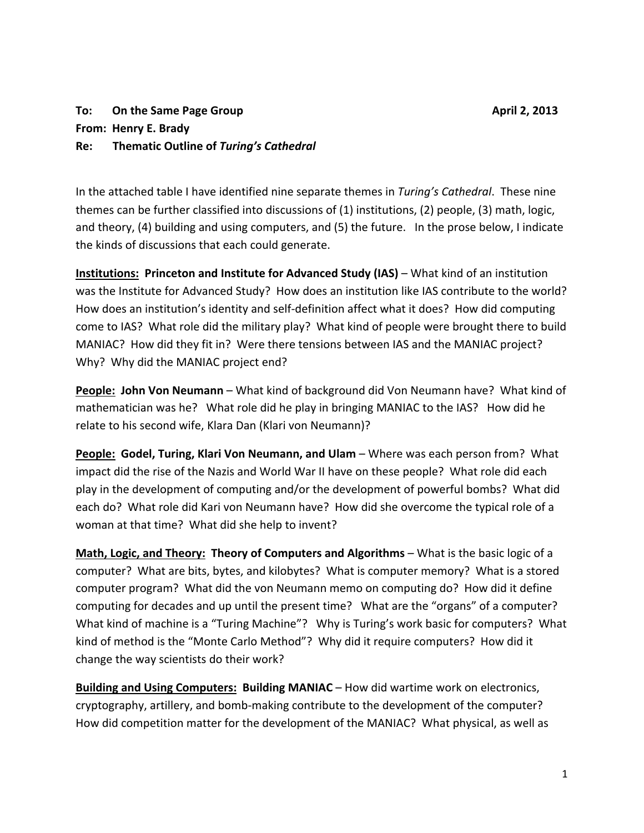## **To:** On the Same Page Group **April 2, 2013 From: Henry E. Brady Re: Thematic Outline of** *Turing's Cathedral*

In the attached table I have identified nine separate themes in *Turing's Cathedral*. These nine themes can be further classified into discussions of (1) institutions, (2) people, (3) math, logic, and theory, (4) building and using computers, and (5) the future. In the prose below, I indicate the kinds of discussions that each could generate.

**Institutions: Princeton and Institute for Advanced Study (IAS)** – What kind of an institution was the Institute for Advanced Study? How does an institution like IAS contribute to the world? How does an institution's identity and self-definition affect what it does? How did computing come to IAS? What role did the military play? What kind of people were brought there to build MANIAC? How did they fit in? Were there tensions between IAS and the MANIAC project? Why? Why did the MANIAC project end?

**People: John Von Neumann** – What kind of background did Von Neumann have? What kind of mathematician was he? What role did he play in bringing MANIAC to the IAS? How did he relate to his second wife, Klara Dan (Klari von Neumann)?

**People: Godel, Turing, Klari Von Neumann, and Ulam** – Where was each person from? What impact did the rise of the Nazis and World War II have on these people? What role did each play in the development of computing and/or the development of powerful bombs? What did each do? What role did Kari von Neumann have? How did she overcome the typical role of a woman at that time? What did she help to invent?

**Math, Logic, and Theory: Theory of Computers and Algorithms** – What is the basic logic of a computer? What are bits, bytes, and kilobytes? What is computer memory? What is a stored computer program? What did the von Neumann memo on computing do? How did it define computing for decades and up until the present time? What are the "organs" of a computer? What kind of machine is a "Turing Machine"? Why is Turing's work basic for computers? What kind of method is the "Monte Carlo Method"? Why did it require computers? How did it change the way scientists do their work?

**Building and Using Computers: Building MANIAC** – How did wartime work on electronics, cryptography, artillery, and bomb-making contribute to the development of the computer? How did competition matter for the development of the MANIAC? What physical, as well as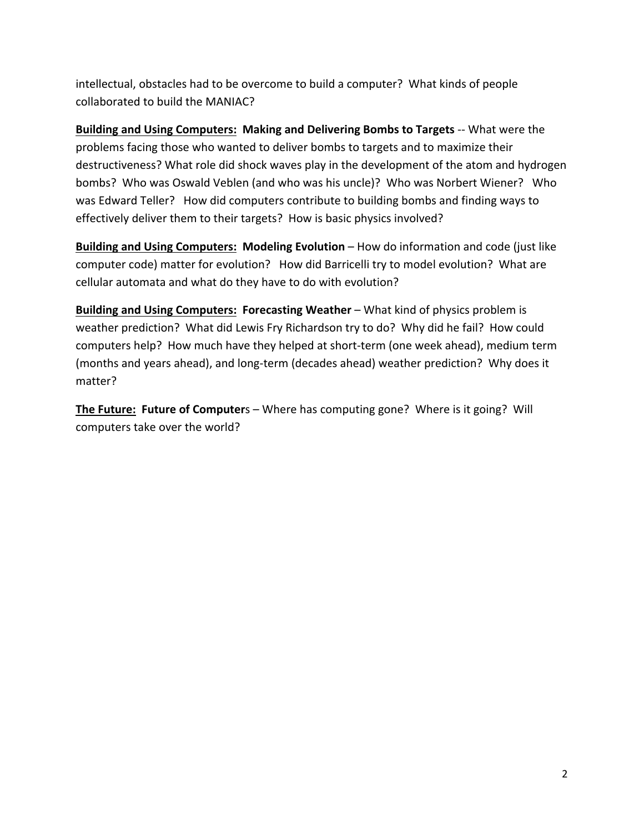intellectual, obstacles had to be overcome to build a computer? What kinds of people collaborated to build the MANIAC?

**Building and Using Computers: Making and Delivering Bombs to Targets** -- What were the problems facing those who wanted to deliver bombs to targets and to maximize their destructiveness? What role did shock waves play in the development of the atom and hydrogen bombs? Who was Oswald Veblen (and who was his uncle)? Who was Norbert Wiener? Who was Edward Teller? How did computers contribute to building bombs and finding ways to effectively deliver them to their targets? How is basic physics involved?

**Building and Using Computers: Modeling Evolution** – How do information and code (just like computer code) matter for evolution? How did Barricelli try to model evolution? What are cellular automata and what do they have to do with evolution?

**Building and Using Computers: Forecasting Weather** – What kind of physics problem is weather prediction? What did Lewis Fry Richardson try to do? Why did he fail? How could computers help? How much have they helped at short-term (one week ahead), medium term (months and years ahead), and long-term (decades ahead) weather prediction? Why does it matter?

**The Future: Future of Computer**s – Where has computing gone? Where is it going? Will computers take over the world?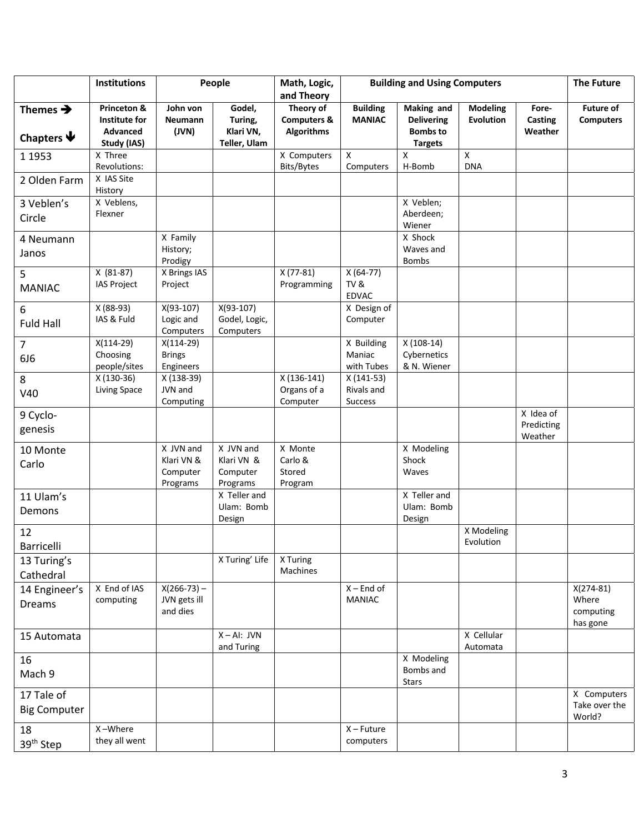|                                                  | Institutions                             | People                                          |                                                 | Math, Logic,<br>and Theory                               | <b>Building and Using Computers</b> |                                                    |                              |                                    | <b>The Future</b>                             |
|--------------------------------------------------|------------------------------------------|-------------------------------------------------|-------------------------------------------------|----------------------------------------------------------|-------------------------------------|----------------------------------------------------|------------------------------|------------------------------------|-----------------------------------------------|
| Themes $\rightarrow$<br>Chapters $\blacklozenge$ | Princeton &<br>Institute for<br>Advanced | John von<br>Neumann<br>(JVN)                    | Godel,<br>Turing,<br>Klari VN,                  | Theory of<br><b>Computers &amp;</b><br><b>Algorithms</b> | <b>Building</b><br><b>MANIAC</b>    | Making and<br><b>Delivering</b><br><b>Bombs to</b> | <b>Modeling</b><br>Evolution | Fore-<br>Casting<br>Weather        | <b>Future of</b><br><b>Computers</b>          |
|                                                  | Study (IAS)                              |                                                 | Teller, Ulam                                    |                                                          |                                     | <b>Targets</b>                                     |                              |                                    |                                               |
| 1 1 9 5 3                                        | X Three<br>Revolutions:                  |                                                 |                                                 | X Computers                                              | X                                   | X                                                  | $\pmb{\times}$               |                                    |                                               |
| 2 Olden Farm                                     | X IAS Site<br>History                    |                                                 |                                                 | Bits/Bytes                                               | Computers                           | H-Bomb                                             | <b>DNA</b>                   |                                    |                                               |
| 3 Veblen's                                       | X Veblens,                               |                                                 |                                                 |                                                          |                                     | X Veblen;                                          |                              |                                    |                                               |
| Circle                                           | Flexner                                  |                                                 |                                                 |                                                          |                                     | Aberdeen;<br>Wiener                                |                              |                                    |                                               |
| 4 Neumann                                        |                                          | X Family                                        |                                                 |                                                          |                                     | X Shock                                            |                              |                                    |                                               |
| Janos                                            |                                          | History;<br>Prodigy                             |                                                 |                                                          |                                     | Waves and<br><b>Bombs</b>                          |                              |                                    |                                               |
| 5                                                | $X(81-87)$                               | X Brings IAS                                    |                                                 | $X(77-81)$                                               | $X(64-77)$                          |                                                    |                              |                                    |                                               |
| <b>MANIAC</b>                                    | <b>IAS Project</b>                       | Project                                         |                                                 | Programming                                              | TV&<br><b>EDVAC</b>                 |                                                    |                              |                                    |                                               |
| 6<br><b>Fuld Hall</b>                            | X (88-93)<br>IAS & Fuld                  | $X(93-107)$<br>Logic and<br>Computers           | $X(93-107)$<br>Godel, Logic,<br>Computers       |                                                          | X Design of<br>Computer             |                                                    |                              |                                    |                                               |
| $\overline{7}$                                   | $X(114-29)$                              | $X(114-29)$                                     |                                                 |                                                          | X Building                          | $X(108-14)$                                        |                              |                                    |                                               |
| 6J6                                              | Choosing                                 | <b>Brings</b>                                   |                                                 |                                                          | Maniac                              | Cybernetics                                        |                              |                                    |                                               |
|                                                  | people/sites                             | Engineers                                       |                                                 |                                                          | with Tubes                          | & N. Wiener                                        |                              |                                    |                                               |
| 8                                                | X (130-36)                               | X (138-39)                                      |                                                 | $X(136-141)$                                             | $X(141-53)$                         |                                                    |                              |                                    |                                               |
| V40                                              | Living Space                             | JVN and<br>Computing                            |                                                 | Organs of a<br>Computer                                  | Rivals and<br>Success               |                                                    |                              |                                    |                                               |
| 9 Cyclo-<br>genesis                              |                                          |                                                 |                                                 |                                                          |                                     |                                                    |                              | X Idea of<br>Predicting<br>Weather |                                               |
| 10 Monte<br>Carlo                                |                                          | X JVN and<br>Klari VN &<br>Computer<br>Programs | X JVN and<br>Klari VN &<br>Computer<br>Programs | X Monte<br>Carlo &<br>Stored<br>Program                  |                                     | X Modeling<br>Shock<br>Waves                       |                              |                                    |                                               |
| 11 Ulam's                                        |                                          |                                                 | X Teller and                                    |                                                          |                                     | X Teller and                                       |                              |                                    |                                               |
| Demons                                           |                                          |                                                 | Ulam: Bomb<br>Design                            |                                                          |                                     | Ulam: Bomb<br>Design                               |                              |                                    |                                               |
| 12<br>Barricelli                                 |                                          |                                                 |                                                 |                                                          |                                     |                                                    | X Modeling<br>Evolution      |                                    |                                               |
| 13 Turing's                                      |                                          |                                                 | X Turing' Life                                  | X Turing                                                 |                                     |                                                    |                              |                                    |                                               |
| Cathedral                                        |                                          |                                                 |                                                 | Machines                                                 |                                     |                                                    |                              |                                    |                                               |
| 14 Engineer's<br>Dreams                          | X End of IAS<br>computing                | $X(266-73)$ –<br>JVN gets ill<br>and dies       |                                                 |                                                          | $X -$ End of<br><b>MANIAC</b>       |                                                    |                              |                                    | $X(274-81)$<br>Where<br>computing<br>has gone |
| 15 Automata                                      |                                          |                                                 | $X - AI: JVM$<br>and Turing                     |                                                          |                                     |                                                    | X Cellular<br>Automata       |                                    |                                               |
| 16<br>Mach 9                                     |                                          |                                                 |                                                 |                                                          |                                     | X Modeling<br>Bombs and<br><b>Stars</b>            |                              |                                    |                                               |
| 17 Tale of<br><b>Big Computer</b>                |                                          |                                                 |                                                 |                                                          |                                     |                                                    |                              |                                    | X Computers<br>Take over the<br>World?        |
| 18<br>39 <sup>th</sup> Step                      | X-Where<br>they all went                 |                                                 |                                                 |                                                          | $X - Future$<br>computers           |                                                    |                              |                                    |                                               |